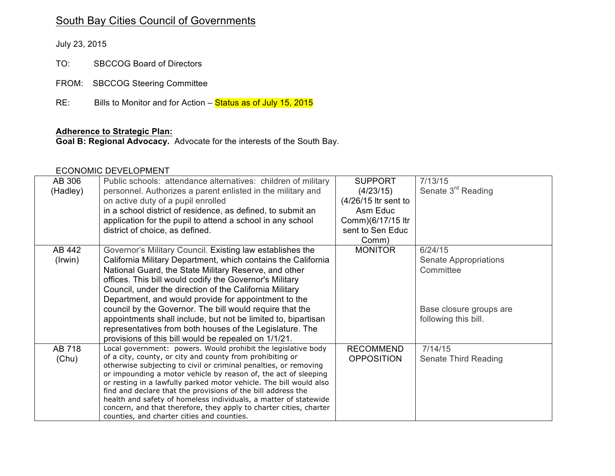# South Bay Cities Council of Governments

July 23, 2015

TO: SBCCOG Board of Directors

FROM: SBCCOG Steering Committee

 $RE:$ Bills to Monitor and for Action – Status as of July 15, 2015

#### **Adherence to Strategic Plan:**

**Goal B: Regional Advocacy.** Advocate for the interests of the South Bay.

#### ECONOMIC DEVELOPMENT

| AB 306   | Public schools: attendance alternatives: children of military                                                                       | <b>SUPPORT</b>       | 7/13/15                        |
|----------|-------------------------------------------------------------------------------------------------------------------------------------|----------------------|--------------------------------|
| (Hadley) | personnel. Authorizes a parent enlisted in the military and                                                                         | (4/23/15)            | Senate 3 <sup>rd</sup> Reading |
|          | on active duty of a pupil enrolled                                                                                                  | (4/26/15 ltr sent to |                                |
|          | in a school district of residence, as defined, to submit an                                                                         | Asm Educ             |                                |
|          | application for the pupil to attend a school in any school                                                                          | Comm)(6/17/15 ltr    |                                |
|          | district of choice, as defined.                                                                                                     | sent to Sen Educ     |                                |
|          |                                                                                                                                     | Comm)                |                                |
| AB 442   | Governor's Military Council. Existing law establishes the                                                                           | <b>MONITOR</b>       | 6/24/15                        |
| (Irwin)  | California Military Department, which contains the California                                                                       |                      | Senate Appropriations          |
|          | National Guard, the State Military Reserve, and other                                                                               |                      | Committee                      |
|          | offices. This bill would codify the Governor's Military                                                                             |                      |                                |
|          | Council, under the direction of the California Military                                                                             |                      |                                |
|          | Department, and would provide for appointment to the                                                                                |                      |                                |
|          | council by the Governor. The bill would require that the                                                                            |                      | Base closure groups are        |
|          | appointments shall include, but not be limited to, bipartisan                                                                       |                      | following this bill.           |
|          | representatives from both houses of the Legislature. The                                                                            |                      |                                |
|          | provisions of this bill would be repealed on 1/1/21.                                                                                |                      |                                |
| AB 718   | Local government: powers. Would prohibit the legislative body                                                                       | <b>RECOMMEND</b>     | 7/14/15                        |
| (Chu)    | of a city, county, or city and county from prohibiting or                                                                           | <b>OPPOSITION</b>    | Senate Third Reading           |
|          | otherwise subjecting to civil or criminal penalties, or removing<br>or impounding a motor vehicle by reason of, the act of sleeping |                      |                                |
|          | or resting in a lawfully parked motor vehicle. The bill would also                                                                  |                      |                                |
|          | find and declare that the provisions of the bill address the                                                                        |                      |                                |
|          | health and safety of homeless individuals, a matter of statewide                                                                    |                      |                                |
|          | concern, and that therefore, they apply to charter cities, charter                                                                  |                      |                                |
|          | counties, and charter cities and counties.                                                                                          |                      |                                |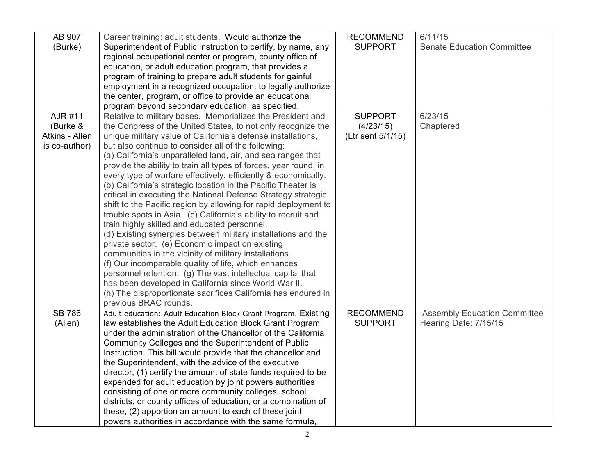| AB 907         | Career training: adult students. Would authorize the             | <b>RECOMMEND</b>  | 6/11/15                             |
|----------------|------------------------------------------------------------------|-------------------|-------------------------------------|
| (Burke)        | Superintendent of Public Instruction to certify, by name, any    | <b>SUPPORT</b>    | <b>Senate Education Committee</b>   |
|                | regional occupational center or program, county office of        |                   |                                     |
|                | education, or adult education program, that provides a           |                   |                                     |
|                | program of training to prepare adult students for gainful        |                   |                                     |
|                | employment in a recognized occupation, to legally authorize      |                   |                                     |
|                | the center, program, or office to provide an educational         |                   |                                     |
|                | program beyond secondary education, as specified.                |                   |                                     |
| AJR #11        | Relative to military bases. Memorializes the President and       | <b>SUPPORT</b>    | 6/23/15                             |
| (Burke &       | the Congress of the United States, to not only recognize the     | (4/23/15)         | Chaptered                           |
| Atkins - Allen | unique military value of California's defense installations,     | (Ltr sent 5/1/15) |                                     |
| is co-author)  | but also continue to consider all of the following:              |                   |                                     |
|                | (a) California's unparalleled land, air, and sea ranges that     |                   |                                     |
|                | provide the ability to train all types of forces, year round, in |                   |                                     |
|                | every type of warfare effectively, efficiently & economically.   |                   |                                     |
|                | (b) California's strategic location in the Pacific Theater is    |                   |                                     |
|                | critical in executing the National Defense Strategy strategic    |                   |                                     |
|                | shift to the Pacific region by allowing for rapid deployment to  |                   |                                     |
|                | trouble spots in Asia. (c) California's ability to recruit and   |                   |                                     |
|                | train highly skilled and educated personnel.                     |                   |                                     |
|                | (d) Existing synergies between military installations and the    |                   |                                     |
|                | private sector. (e) Economic impact on existing                  |                   |                                     |
|                | communities in the vicinity of military installations.           |                   |                                     |
|                | (f) Our incomparable quality of life, which enhances             |                   |                                     |
|                | personnel retention. (g) The vast intellectual capital that      |                   |                                     |
|                | has been developed in California since World War II.             |                   |                                     |
|                | (h) The disproportionate sacrifices California has endured in    |                   |                                     |
|                | previous BRAC rounds.                                            |                   |                                     |
| <b>SB 786</b>  | Adult education: Adult Education Block Grant Program. Existing   | <b>RECOMMEND</b>  | <b>Assembly Education Committee</b> |
| (Allen)        | law establishes the Adult Education Block Grant Program          | <b>SUPPORT</b>    | Hearing Date: 7/15/15               |
|                | under the administration of the Chancellor of the California     |                   |                                     |
|                | Community Colleges and the Superintendent of Public              |                   |                                     |
|                | Instruction. This bill would provide that the chancellor and     |                   |                                     |
|                | the Superintendent, with the advice of the executive             |                   |                                     |
|                | director, (1) certify the amount of state funds required to be   |                   |                                     |
|                | expended for adult education by joint powers authorities         |                   |                                     |
|                | consisting of one or more community colleges, school             |                   |                                     |
|                | districts, or county offices of education, or a combination of   |                   |                                     |
|                | these, (2) apportion an amount to each of these joint            |                   |                                     |
|                | powers authorities in accordance with the same formula,          |                   |                                     |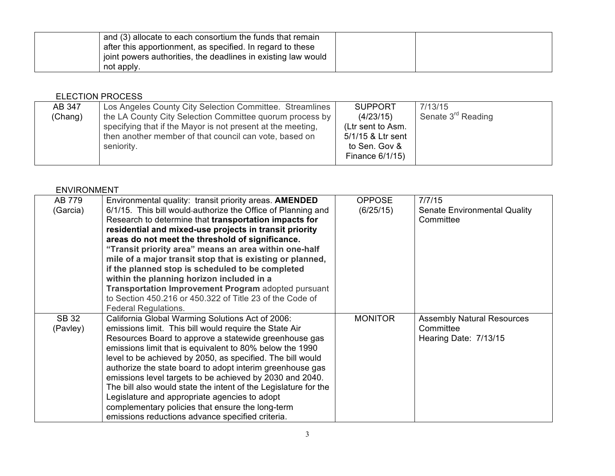| and (3) allocate to each consortium the funds that remain     |  |
|---------------------------------------------------------------|--|
| after this apportionment, as specified. In regard to these    |  |
| joint powers authorities, the deadlines in existing law would |  |
| not apply.                                                    |  |

### ELECTION PROCESS

| AB 347     | Los Angeles County City Selection Committee. Streamlines    | <b>SUPPORT</b>    | 7/13/15                        |
|------------|-------------------------------------------------------------|-------------------|--------------------------------|
| (Chang)    | the LA County City Selection Committee quorum process by    | (4/23/15)         | Senate 3 <sup>rd</sup> Reading |
|            | specifying that if the Mayor is not present at the meeting, | (Ltr sent to Asm. |                                |
|            | then another member of that council can vote, based on      | 5/1/15 & Ltr sent |                                |
| seniority. |                                                             | to Sen. Gov &     |                                |
|            |                                                             | Finance 6/1/15)   |                                |

### ENVIRONMENT

| AB 779   | Environmental quality: transit priority areas. AMENDED          | <b>OPPOSE</b>  | 7/7/15                              |
|----------|-----------------------------------------------------------------|----------------|-------------------------------------|
| (Garcia) | 6/1/15. This bill would-authorize the Office of Planning and    | (6/25/15)      | <b>Senate Environmental Quality</b> |
|          | Research to determine that transportation impacts for           |                | Committee                           |
|          | residential and mixed-use projects in transit priority          |                |                                     |
|          | areas do not meet the threshold of significance.                |                |                                     |
|          | "Transit priority area" means an area within one-half           |                |                                     |
|          | mile of a major transit stop that is existing or planned,       |                |                                     |
|          | if the planned stop is scheduled to be completed                |                |                                     |
|          | within the planning horizon included in a                       |                |                                     |
|          | Transportation Improvement Program adopted pursuant             |                |                                     |
|          | to Section 450.216 or 450.322 of Title 23 of the Code of        |                |                                     |
|          | <b>Federal Regulations.</b>                                     |                |                                     |
| SB 32    | California Global Warming Solutions Act of 2006:                | <b>MONITOR</b> | <b>Assembly Natural Resources</b>   |
| (Pavley) | emissions limit. This bill would require the State Air          |                | Committee                           |
|          | Resources Board to approve a statewide greenhouse gas           |                | Hearing Date: 7/13/15               |
|          | emissions limit that is equivalent to 80% below the 1990        |                |                                     |
|          | level to be achieved by 2050, as specified. The bill would      |                |                                     |
|          | authorize the state board to adopt interim greenhouse gas       |                |                                     |
|          | emissions level targets to be achieved by 2030 and 2040.        |                |                                     |
|          | The bill also would state the intent of the Legislature for the |                |                                     |
|          | Legislature and appropriate agencies to adopt                   |                |                                     |
|          | complementary policies that ensure the long-term                |                |                                     |
|          | emissions reductions advance specified criteria.                |                |                                     |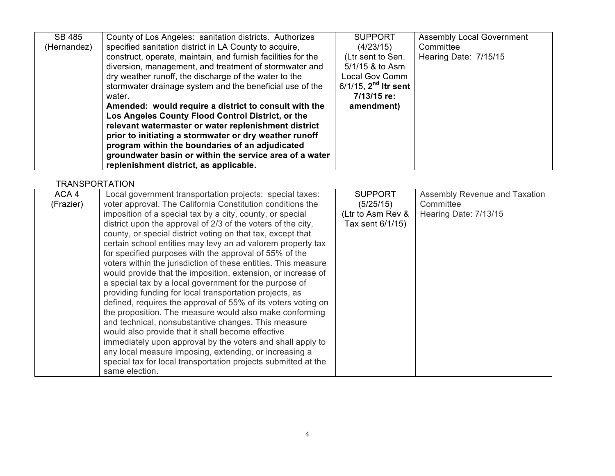| SB 485      | County of Los Angeles: sanitation districts. Authorizes      | <b>SUPPORT</b>            | <b>Assembly Local Government</b> |
|-------------|--------------------------------------------------------------|---------------------------|----------------------------------|
| (Hernandez) | specified sanitation district in LA County to acquire,       | (4/23/15)                 | Committee                        |
|             | construct, operate, maintain, and furnish facilities for the | (Ltr sent to Sen.         | Hearing Date: 7/15/15            |
|             | diversion, management, and treatment of stormwater and       | $5/1/15$ & to Asm         |                                  |
|             | dry weather runoff, the discharge of the water to the        | <b>Local Gov Comm</b>     |                                  |
|             | stormwater drainage system and the beneficial use of the     | $6/1/15$ , $2nd$ Itr sent |                                  |
|             | water.                                                       | 7/13/15 re:               |                                  |
|             | Amended: would require a district to consult with the        | amendment)                |                                  |
|             | Los Angeles County Flood Control District, or the            |                           |                                  |
|             | relevant watermaster or water replenishment district         |                           |                                  |
|             | prior to initiating a stormwater or dry weather runoff       |                           |                                  |
|             | program within the boundaries of an adjudicated              |                           |                                  |
|             | groundwater basin or within the service area of a water      |                           |                                  |
|             | replenishment district, as applicable.                       |                           |                                  |

## **TRANSPORTATION**

| ACA 4     | Local government transportation projects: special taxes:       | <b>SUPPORT</b>    | Assembly Revenue and Taxation |
|-----------|----------------------------------------------------------------|-------------------|-------------------------------|
| (Frazier) | voter approval. The California Constitution conditions the     | (5/25/15)         | Committee                     |
|           | imposition of a special tax by a city, county, or special      | (Ltr to Asm Rev & | Hearing Date: 7/13/15         |
|           | district upon the approval of 2/3 of the voters of the city,   | Tax sent 6/1/15)  |                               |
|           | county, or special district voting on that tax, except that    |                   |                               |
|           | certain school entities may levy an ad valorem property tax    |                   |                               |
|           | for specified purposes with the approval of 55% of the         |                   |                               |
|           | voters within the jurisdiction of these entities. This measure |                   |                               |
|           | would provide that the imposition, extension, or increase of   |                   |                               |
|           | a special tax by a local government for the purpose of         |                   |                               |
|           | providing funding for local transportation projects, as        |                   |                               |
|           | defined, requires the approval of 55% of its voters voting on  |                   |                               |
|           | the proposition. The measure would also make conforming        |                   |                               |
|           | and technical, nonsubstantive changes. This measure            |                   |                               |
|           | would also provide that it shall become effective              |                   |                               |
|           | immediately upon approval by the voters and shall apply to     |                   |                               |
|           | any local measure imposing, extending, or increasing a         |                   |                               |
|           | special tax for local transportation projects submitted at the |                   |                               |
|           | same election.                                                 |                   |                               |